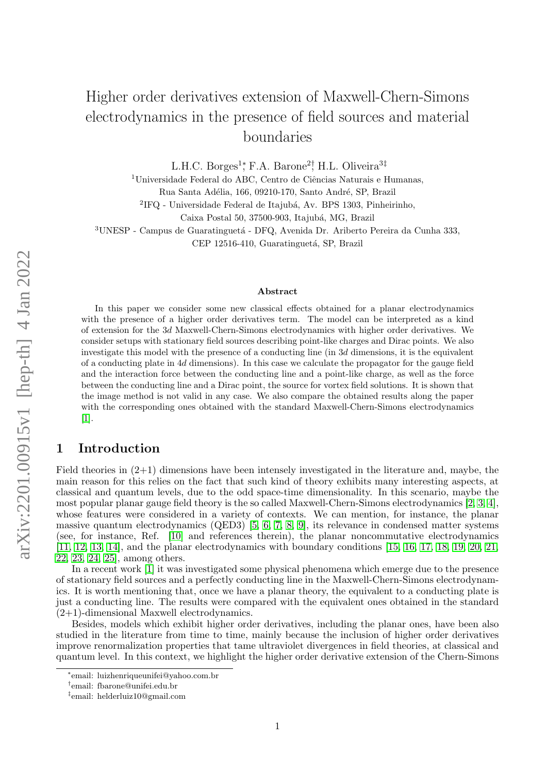# Higher order derivatives extension of Maxwell-Chern-Simons electrodynamics in the presence of field sources and material boundaries

L.H.C. Borges<sup>1</sup><sup>\*</sup>, F.A. Barone<sup>2†</sup>, H.L. Oliveira<sup>3‡</sup>

 $1$ Universidade Federal do ABC, Centro de Ciências Naturais e Humanas,

Rua Santa Adélia, 166, 09210-170, Santo André, SP, Brazil

 ${}^{2}$ IFQ - Universidade Federal de Itajubá, Av. BPS 1303, Pinheirinho,

Caixa Postal 50, 37500-903, Itajubá, MG, Brazil

<sup>3</sup>UNESP - Campus de Guaratinguetá - DFQ, Avenida Dr. Ariberto Pereira da Cunha 333,

CEP 12516-410, Guaratinguetá, SP, Brazil

#### Abstract

In this paper we consider some new classical effects obtained for a planar electrodynamics with the presence of a higher order derivatives term. The model can be interpreted as a kind of extension for the 3d Maxwell-Chern-Simons electrodynamics with higher order derivatives. We consider setups with stationary field sources describing point-like charges and Dirac points. We also investigate this model with the presence of a conducting line (in 3d dimensions, it is the equivalent of a conducting plate in 4d dimensions). In this case we calculate the propagator for the gauge field and the interaction force between the conducting line and a point-like charge, as well as the force between the conducting line and a Dirac point, the source for vortex field solutions. It is shown that the image method is not valid in any case. We also compare the obtained results along the paper with the corresponding ones obtained with the standard Maxwell-Chern-Simons electrodynamics [\[1\]](#page-13-0).

# 1 Introduction

Field theories in  $(2+1)$  dimensions have been intensely investigated in the literature and, maybe, the main reason for this relies on the fact that such kind of theory exhibits many interesting aspects, at classical and quantum levels, due to the odd space-time dimensionality. In this scenario, maybe the most popular planar gauge field theory is the so called Maxwell-Chern-Simons electrodynamics [\[2,](#page-13-1) [3,](#page-13-2) [4\]](#page-13-3), whose features were considered in a variety of contexts. We can mention, for instance, the planar massive quantum electrodynamics (QED3) [\[5,](#page-13-4) [6,](#page-13-5) [7,](#page-13-6) [8,](#page-13-7) [9\]](#page-13-8), its relevance in condensed matter systems (see, for instance, Ref. [\[10\]](#page-13-9) and references therein), the planar noncommutative electrodynamics [\[11,](#page-13-10) [12,](#page-13-11) [13,](#page-13-12) [14\]](#page-13-13), and the planar electrodynamics with boundary conditions [\[15,](#page-13-14) [16,](#page-13-15) [17,](#page-13-16) [18,](#page-13-17) [19,](#page-13-18) [20,](#page-13-19) [21,](#page-13-20) [22,](#page-13-21) [23,](#page-13-22) [24,](#page-13-23) [25\]](#page-13-24), among others.

In a recent work [\[1\]](#page-13-0) it was investigated some physical phenomena which emerge due to the presence of stationary field sources and a perfectly conducting line in the Maxwell-Chern-Simons electrodynamics. It is worth mentioning that, once we have a planar theory, the equivalent to a conducting plate is just a conducting line. The results were compared with the equivalent ones obtained in the standard (2+1)-dimensional Maxwell electrodynamics.

Besides, models which exhibit higher order derivatives, including the planar ones, have been also studied in the literature from time to time, mainly because the inclusion of higher order derivatives improve renormalization properties that tame ultraviolet divergences in field theories, at classical and quantum level. In this context, we highlight the higher order derivative extension of the Chern-Simons

<sup>∗</sup> email: luizhenriqueunifei@yahoo.com.br

<sup>†</sup> email: fbarone@unifei.edu.br

<sup>‡</sup> email: helderluiz10@gmail.com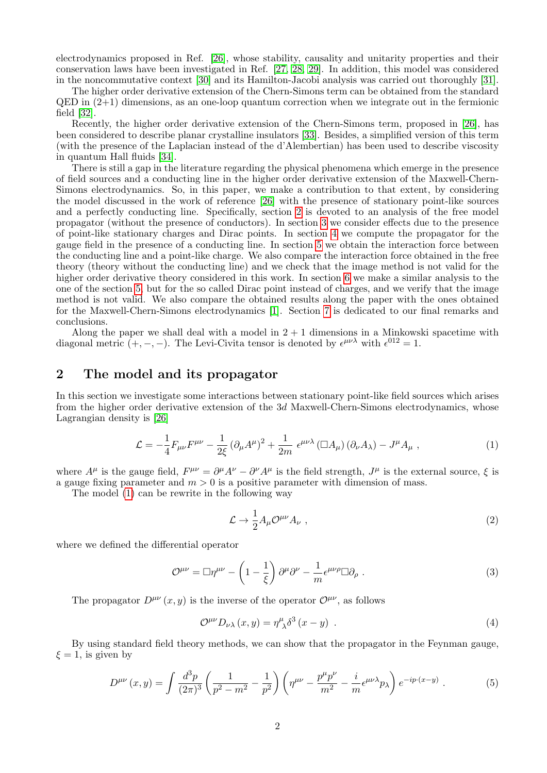electrodynamics proposed in Ref. [\[26\]](#page-13-25), whose stability, causality and unitarity properties and their conservation laws have been investigated in Ref. [\[27,](#page-13-26) [28,](#page-13-27) [29\]](#page-13-28). In addition, this model was considered in the noncommutative context [\[30\]](#page-13-29) and its Hamilton-Jacobi analysis was carried out thoroughly [\[31\]](#page-13-30).

The higher order derivative extension of the Chern-Simons term can be obtained from the standard  $QED$  in  $(2+1)$  dimensions, as an one-loop quantum correction when we integrate out in the fermionic field [\[32\]](#page-14-0).

Recently, the higher order derivative extension of the Chern-Simons term, proposed in [\[26\]](#page-13-25), has been considered to describe planar crystalline insulators [\[33\]](#page-14-1). Besides, a simplified version of this term (with the presence of the Laplacian instead of the d'Alembertian) has been used to describe viscosity in quantum Hall fluids [\[34\]](#page-14-2).

There is still a gap in the literature regarding the physical phenomena which emerge in the presence of field sources and a conducting line in the higher order derivative extension of the Maxwell-Chern-Simons electrodynamics. So, in this paper, we make a contribution to that extent, by considering the model discussed in the work of reference [\[26\]](#page-13-25) with the presence of stationary point-like sources and a perfectly conducting line. Specifically, section [2](#page-1-0) is devoted to an analysis of the free model propagator (without the presence of conductors). In section [3](#page-2-0) we consider effects due to the presence of point-like stationary charges and Dirac points. In section [4](#page-5-0) we compute the propagator for the gauge field in the presence of a conducting line. In section [5](#page-7-0) we obtain the interaction force between the conducting line and a point-like charge. We also compare the interaction force obtained in the free theory (theory without the conducting line) and we check that the image method is not valid for the higher order derivative theory considered in this work. In section [6](#page-10-0) we make a similar analysis to the one of the section [5,](#page-7-0) but for the so called Dirac point instead of charges, and we verify that the image method is not valid. We also compare the obtained results along the paper with the ones obtained for the Maxwell-Chern-Simons electrodynamics [\[1\]](#page-13-0). Section [7](#page-11-0) is dedicated to our final remarks and conclusions.

Along the paper we shall deal with a model in  $2 + 1$  dimensions in a Minkowski spacetime with diagonal metric  $(+, -, -)$ . The Levi-Civita tensor is denoted by  $\epsilon^{\mu\nu\lambda}$  with  $\epsilon^{012} = 1$ .

## <span id="page-1-0"></span>2 The model and its propagator

In this section we investigate some interactions between stationary point-like field sources which arises from the higher order derivative extension of the 3d Maxwell-Chern-Simons electrodynamics, whose Lagrangian density is [\[26\]](#page-13-25)

<span id="page-1-1"></span>
$$
\mathcal{L} = -\frac{1}{4} F_{\mu\nu} F^{\mu\nu} - \frac{1}{2\xi} \left( \partial_{\mu} A^{\mu} \right)^2 + \frac{1}{2m} \epsilon^{\mu\nu\lambda} \left( \Box A_{\mu} \right) \left( \partial_{\nu} A_{\lambda} \right) - J^{\mu} A_{\mu} , \qquad (1)
$$

where  $A^{\mu}$  is the gauge field,  $F^{\mu\nu} = \partial^{\mu}A^{\nu} - \partial^{\nu}A^{\mu}$  is the field strength,  $J^{\mu}$  is the external source,  $\xi$  is a gauge fixing parameter and  $m > 0$  is a positive parameter with dimension of mass.

The model [\(1\)](#page-1-1) can be rewrite in the following way

$$
\mathcal{L} \to \frac{1}{2} A_{\mu} \mathcal{O}^{\mu \nu} A_{\nu} \tag{2}
$$

where we defined the differential operator

<span id="page-1-3"></span>
$$
\mathcal{O}^{\mu\nu} = \Box \eta^{\mu\nu} - \left(1 - \frac{1}{\xi}\right) \partial^{\mu} \partial^{\nu} - \frac{1}{m} \epsilon^{\mu\nu\rho} \Box \partial_{\rho} . \tag{3}
$$

The propagator  $D^{\mu\nu}(x, y)$  is the inverse of the operator  $\mathcal{O}^{\mu\nu}$ , as follows

$$
\mathcal{O}^{\mu\nu}D_{\nu\lambda}(x,y) = \eta^{\mu}_{\lambda}\delta^3(x-y) \tag{4}
$$

By using standard field theory methods, we can show that the propagator in the Feynman gauge,  $\xi = 1$ , is given by

<span id="page-1-2"></span>
$$
D^{\mu\nu}(x,y) = \int \frac{d^3p}{(2\pi)^3} \left(\frac{1}{p^2 - m^2} - \frac{1}{p^2}\right) \left(\eta^{\mu\nu} - \frac{p^{\mu}p^{\nu}}{m^2} - \frac{i}{m}\epsilon^{\mu\nu\lambda}p_{\lambda}\right) e^{-ip \cdot (x-y)} . \tag{5}
$$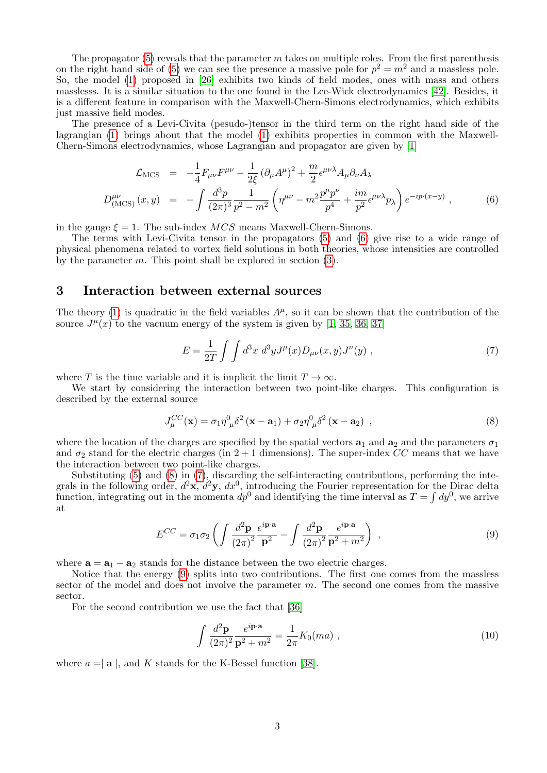The propagator  $(5)$  reveals that the parameter m takes on multiple roles. From the first parenthesis on the right hand side of [\(5\)](#page-1-2) we can see the presence a massive pole for  $p^2 = m^2$  and a massless pole. So, the model [\(1\)](#page-1-1) proposed in [\[26\]](#page-13-25) exhibits two kinds of field modes, ones with mass and others masslesss. It is a similar situation to the one found in the Lee-Wick electrodynamics [\[42\]](#page-14-3). Besides, it is a different feature in comparison with the Maxwell-Chern-Simons electrodynamics, which exhibits just massive field modes.

The presence of a Levi-Civita (pesudo-)tensor in the third term on the right hand side of the lagrangian [\(1\)](#page-1-1) brings about that the model [\(1\)](#page-1-1) exhibits properties in common with the Maxwell-Chern-Simons electrodynamics, whose Lagrangian and propagator are given by [\[1\]](#page-13-0)

<span id="page-2-1"></span>
$$
\mathcal{L}_{\text{MCS}} = -\frac{1}{4} F_{\mu\nu} F^{\mu\nu} - \frac{1}{2\xi} (\partial_{\mu} A^{\mu})^2 + \frac{m}{2} \epsilon^{\mu\nu\lambda} A_{\mu} \partial_{\nu} A_{\lambda}
$$
\n
$$
D_{(\text{MCS})}^{\mu\nu}(x, y) = -\int \frac{d^3 p}{(2\pi)^3} \frac{1}{p^2 - m^2} \left( \eta^{\mu\nu} - m^2 \frac{p^{\mu} p^{\nu}}{p^4} + \frac{im}{p^2} \epsilon^{\mu\nu\lambda} p_{\lambda} \right) e^{-ip \cdot (x - y)}, \tag{6}
$$

in the gauge  $\xi = 1$ . The sub-index  $MCS$  means Maxwell-Chern-Simons.

The terms with Levi-Civita tensor in the propagators [\(5\)](#page-1-2) and [\(6\)](#page-2-1) give rise to a wide range of physical phenomena related to vortex field solutions in both theories, whose intensities are controlled by the parameter  $m$ . This point shall be explored in section  $(3)$ .

# <span id="page-2-0"></span>3 Interaction between external sources

The theory [\(1\)](#page-1-1) is quadratic in the field variables  $A^{\mu}$ , so it can be shown that the contribution of the source  $J^{\mu}(x)$  to the vacuum energy of the system is given by [\[1,](#page-13-0) [35,](#page-14-4) [36,](#page-14-5) [37\]](#page-14-6)

<span id="page-2-3"></span>
$$
E = \frac{1}{2T} \int \int d^3x \ d^3y J^{\mu}(x) D_{\mu\nu}(x, y) J^{\nu}(y) , \qquad (7)
$$

where T is the time variable and it is implicit the limit  $T \to \infty$ .

We start by considering the interaction between two point-like charges. This configuration is described by the external source

<span id="page-2-2"></span>
$$
J_{\mu}^{CC}(\mathbf{x}) = \sigma_1 \eta_{\mu}^0 \delta^2 (\mathbf{x} - \mathbf{a}_1) + \sigma_2 \eta_{\mu}^0 \delta^2 (\mathbf{x} - \mathbf{a}_2) , \qquad (8)
$$

where the location of the charges are specified by the spatial vectors  $a_1$  and  $a_2$  and the parameters  $\sigma_1$ and  $\sigma_2$  stand for the electric charges (in 2 + 1 dimensions). The super-index CC means that we have the interaction between two point-like charges.

Substituting [\(5\)](#page-1-2) and [\(8\)](#page-2-2) in [\(7\)](#page-2-3), discarding the self-interacting contributions, performing the integrals in the following order,  $d^2\mathbf{x}, d^2\mathbf{y}, dx^0$ , introducing the Fourier representation for the Dirac delta function, integrating out in the momenta  $dp^0$  and identifying the time interval as  $T = \int dy^0$ , we arrive at

<span id="page-2-4"></span>
$$
E^{CC} = \sigma_1 \sigma_2 \left( \int \frac{d^2 \mathbf{p}}{(2\pi)^2} \frac{e^{i \mathbf{p} \cdot \mathbf{a}}}{\mathbf{p}^2} - \int \frac{d^2 \mathbf{p}}{(2\pi)^2} \frac{e^{i \mathbf{p} \cdot \mathbf{a}}}{\mathbf{p}^2 + m^2} \right) ,
$$
 (9)

where  $\mathbf{a} = \mathbf{a}_1 - \mathbf{a}_2$  stands for the distance between the two electric charges.

Notice that the energy [\(9\)](#page-2-4) splits into two contributions. The first one comes from the massless sector of the model and does not involve the parameter  $m$ . The second one comes from the massive sector.

For the second contribution we use the fact that [\[36\]](#page-14-5)

<span id="page-2-5"></span>
$$
\int \frac{d^2 \mathbf{p}}{(2\pi)^2} \frac{e^{i \mathbf{p} \cdot \mathbf{a}}}{\mathbf{p}^2 + m^2} = \frac{1}{2\pi} K_0(ma) ,
$$
\n(10)

where  $a = |\mathbf{a}|$ , and K stands for the K-Bessel function [\[38\]](#page-14-7).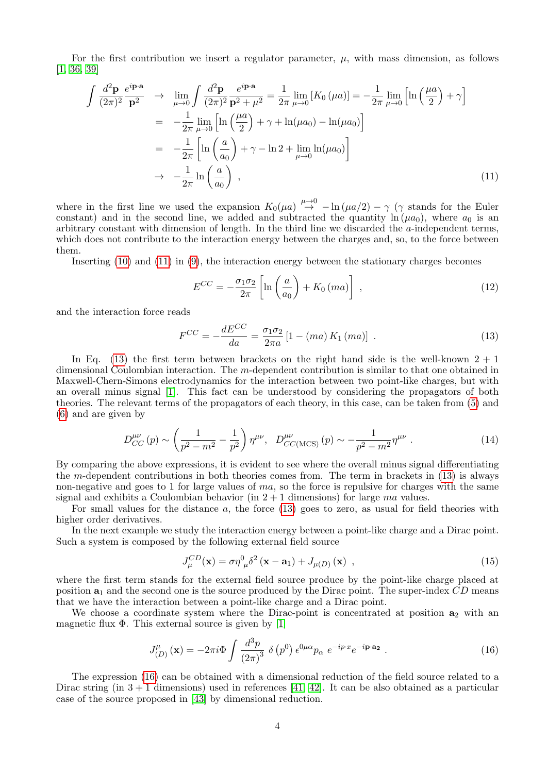For the first contribution we insert a regulator parameter,  $\mu$ , with mass dimension, as follows [\[1,](#page-13-0) [36,](#page-14-5) [39\]](#page-14-8)

<span id="page-3-0"></span>
$$
\int \frac{d^2 \mathbf{p}}{(2\pi)^2} \frac{e^{i\mathbf{p}\cdot\mathbf{a}}}{\mathbf{p}^2} \rightarrow \lim_{\mu \to 0} \int \frac{d^2 \mathbf{p}}{(2\pi)^2} \frac{e^{i\mathbf{p}\cdot\mathbf{a}}}{\mathbf{p}^2 + \mu^2} = \frac{1}{2\pi} \lim_{\mu \to 0} \left[ K_0(\mu a) \right] = -\frac{1}{2\pi} \lim_{\mu \to 0} \left[ \ln \left( \frac{\mu a}{2} \right) + \gamma \right]
$$
  
\n
$$
= -\frac{1}{2\pi} \lim_{\mu \to 0} \left[ \ln \left( \frac{\mu a}{2} \right) + \gamma + \ln(\mu a_0) - \ln(\mu a_0) \right]
$$
  
\n
$$
= -\frac{1}{2\pi} \left[ \ln \left( \frac{a}{a_0} \right) + \gamma - \ln 2 + \lim_{\mu \to 0} \ln(\mu a_0) \right]
$$
  
\n
$$
\rightarrow -\frac{1}{2\pi} \ln \left( \frac{a}{a_0} \right) , \tag{11}
$$

where in the first line we used the expansion  $K_0(\mu a) \stackrel{\mu \to 0}{\to} -\ln(\mu a/2) - \gamma$  ( $\gamma$  stands for the Euler constant) and in the second line, we added and subtracted the quantity  $\ln(\mu a_0)$ , where  $a_0$  is an arbitrary constant with dimension of length. In the third line we discarded the a-independent terms, which does not contribute to the interaction energy between the charges and, so, to the force between them.

Inserting [\(10\)](#page-2-5) and [\(11\)](#page-3-0) in [\(9\)](#page-2-4), the interaction energy between the stationary charges becomes

$$
E^{CC} = -\frac{\sigma_1 \sigma_2}{2\pi} \left[ \ln \left( \frac{a}{a_0} \right) + K_0 \left( ma \right) \right] \tag{12}
$$

and the interaction force reads

<span id="page-3-1"></span>
$$
F^{CC} = -\frac{dE^{CC}}{da} = \frac{\sigma_1 \sigma_2}{2\pi a} \left[ 1 - (ma) \, K_1 \, (ma) \right] \,. \tag{13}
$$

In Eq. [\(13\)](#page-3-1) the first term between brackets on the right hand side is the well-known  $2 + 1$ dimensional Coulombian interaction. The m-dependent contribution is similar to that one obtained in Maxwell-Chern-Simons electrodynamics for the interaction between two point-like charges, but with an overall minus signal [\[1\]](#page-13-0). This fact can be understood by considering the propagators of both theories. The relevant terms of the propagators of each theory, in this case, can be taken from [\(5\)](#page-1-2) and [\(6\)](#page-2-1) and are given by

$$
D_{CC}^{\mu\nu}(p) \sim \left(\frac{1}{p^2 - m^2} - \frac{1}{p^2}\right) \eta^{\mu\nu}, \quad D_{CC(MCS)}^{\mu\nu}(p) \sim -\frac{1}{p^2 - m^2} \eta^{\mu\nu} \ . \tag{14}
$$

By comparing the above expressions, it is evident to see where the overall minus signal differentiating the m-dependent contributions in both theories comes from. The term in brackets in  $(13)$  is always non-negative and goes to 1 for large values of  $ma$ , so the force is repulsive for charges with the same signal and exhibits a Coulombian behavior (in  $2 + 1$  dimensions) for large ma values.

For small values for the distance a, the force [\(13\)](#page-3-1) goes to zero, as usual for field theories with higher order derivatives.

In the next example we study the interaction energy between a point-like charge and a Dirac point. Such a system is composed by the following external field source

<span id="page-3-3"></span>
$$
J_{\mu}^{CD}(\mathbf{x}) = \sigma \eta_{\mu}^{0} \delta^{2} (\mathbf{x} - \mathbf{a}_{1}) + J_{\mu(D)}(\mathbf{x}) , \qquad (15)
$$

where the first term stands for the external field source produce by the point-like charge placed at position  $a_1$  and the second one is the source produced by the Dirac point. The super-index  $CD$  means that we have the interaction between a point-like charge and a Dirac point.

We choose a coordinate system where the Dirac-point is concentrated at position  $a_2$  with an magnetic flux  $\Phi$ . This external source is given by [\[1\]](#page-13-0)

<span id="page-3-2"></span>
$$
J_{(D)}^{\mu}(\mathbf{x}) = -2\pi i \Phi \int \frac{d^3p}{\left(2\pi\right)^3} \delta \left(p^0\right) \epsilon^{0\mu\alpha} p_\alpha \ e^{-ip\cdot x} e^{-i\mathbf{p}\cdot \mathbf{a}_2} \ . \tag{16}
$$

The expression [\(16\)](#page-3-2) can be obtained with a dimensional reduction of the field source related to a Dirac string (in  $3 + 1$  dimensions) used in references [\[41,](#page-14-9) [42\]](#page-14-3). It can be also obtained as a particular case of the source proposed in [\[43\]](#page-14-10) by dimensional reduction.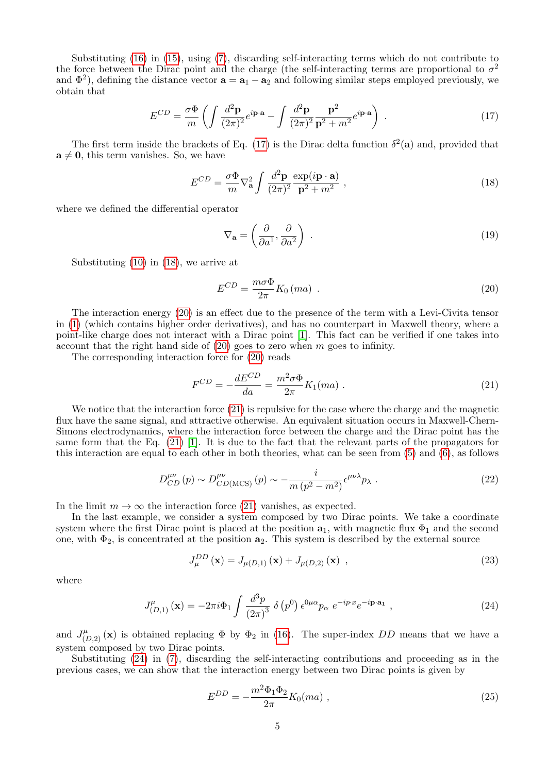Substituting [\(16\)](#page-3-2) in [\(15\)](#page-3-3), using [\(7\)](#page-2-3), discarding self-interacting terms which do not contribute to the force between the Dirac point and the charge (the self-interacting terms are proportional to  $\sigma^2$ and  $\Phi^2$ ), defining the distance vector  $\mathbf{a} = \mathbf{a}_1 - \mathbf{a}_2$  and following similar steps employed previously, we obtain that

<span id="page-4-0"></span>
$$
E^{CD} = \frac{\sigma \Phi}{m} \left( \int \frac{d^2 \mathbf{p}}{(2\pi)^2} e^{i \mathbf{p} \cdot \mathbf{a}} - \int \frac{d^2 \mathbf{p}}{(2\pi)^2} \frac{\mathbf{p}^2}{\mathbf{p}^2 + m^2} e^{i \mathbf{p} \cdot \mathbf{a}} \right) . \tag{17}
$$

The first term inside the brackets of Eq. [\(17\)](#page-4-0) is the Dirac delta function  $\delta^2(\mathbf{a})$  and, provided that  $a \neq 0$ , this term vanishes. So, we have

<span id="page-4-1"></span>
$$
E^{CD} = \frac{\sigma \Phi}{m} \nabla_{\mathbf{a}}^2 \int \frac{d^2 \mathbf{p}}{(2\pi)^2} \frac{\exp(i\mathbf{p} \cdot \mathbf{a})}{\mathbf{p}^2 + m^2} ,
$$
 (18)

where we defined the differential operator

$$
\nabla_{\mathbf{a}} = \left(\frac{\partial}{\partial a^1}, \frac{\partial}{\partial a^2}\right) \tag{19}
$$

Substituting [\(10\)](#page-2-5) in [\(18\)](#page-4-1), we arrive at

<span id="page-4-2"></span>
$$
E^{CD} = \frac{m\sigma\Phi}{2\pi} K_0 \left( ma \right) \tag{20}
$$

The interaction energy [\(20\)](#page-4-2) is an effect due to the presence of the term with a Levi-Civita tensor in [\(1\)](#page-1-1) (which contains higher order derivatives), and has no counterpart in Maxwell theory, where a point-like charge does not interact with a Dirac point [\[1\]](#page-13-0). This fact can be verified if one takes into account that the right hand side of  $(20)$  goes to zero when m goes to infinity.

The corresponding interaction force for [\(20\)](#page-4-2) reads

<span id="page-4-3"></span>
$$
F^{CD} = -\frac{dE^{CD}}{da} = \frac{m^2 \sigma \Phi}{2\pi} K_1(ma) .
$$
 (21)

We notice that the interaction force  $(21)$  is repulsive for the case where the charge and the magnetic flux have the same signal, and attractive otherwise. An equivalent situation occurs in Maxwell-Chern-Simons electrodynamics, where the interaction force between the charge and the Dirac point has the same form that the Eq. [\(21\)](#page-4-3) [\[1\]](#page-13-0). It is due to the fact that the relevant parts of the propagators for this interaction are equal to each other in both theories, what can be seen from [\(5\)](#page-1-2) and [\(6\)](#page-2-1), as follows

$$
D_{CD}^{\mu\nu}(p) \sim D_{CD(MCS)}^{\mu\nu}(p) \sim -\frac{i}{m\left(p^2 - m^2\right)} \epsilon^{\mu\nu\lambda} p_\lambda \tag{22}
$$

In the limit  $m \to \infty$  the interaction force [\(21\)](#page-4-3) vanishes, as expected.

In the last example, we consider a system composed by two Dirac points. We take a coordinate system where the first Dirac point is placed at the position  $a_1$ , with magnetic flux  $\Phi_1$  and the second one, with  $\Phi_2$ , is concentrated at the position  $a_2$ . This system is described by the external source

$$
J_{\mu}^{DD}(\mathbf{x}) = J_{\mu(D,1)}(\mathbf{x}) + J_{\mu(D,2)}(\mathbf{x}) ,
$$
 (23)

where

<span id="page-4-4"></span>
$$
J_{(D,1)}^{\mu}(\mathbf{x}) = -2\pi i \Phi_1 \int \frac{d^3p}{\left(2\pi\right)^3} \delta\left(p^0\right) \epsilon^{0\mu\alpha} p_\alpha \ e^{-ip\cdot x} e^{-i\mathbf{p}\cdot \mathbf{a}_1} \ , \tag{24}
$$

and  $J^{\mu}_{(D,2)}(\mathbf{x})$  is obtained replacing  $\Phi$  by  $\Phi_2$  in [\(16\)](#page-3-2). The super-index DD means that we have a system composed by two Dirac points.

Substituting [\(24\)](#page-4-4) in [\(7\)](#page-2-3), discarding the self-interacting contributions and proceeding as in the previous cases, we can show that the interaction energy between two Dirac points is given by

$$
E^{DD} = -\frac{m^2 \Phi_1 \Phi_2}{2\pi} K_0(ma) , \qquad (25)
$$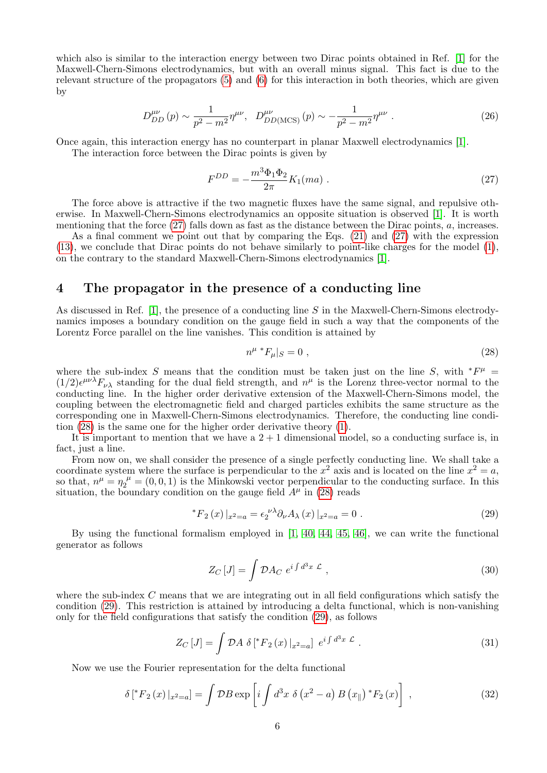which also is similar to the interaction energy between two Dirac points obtained in Ref. [\[1\]](#page-13-0) for the Maxwell-Chern-Simons electrodynamics, but with an overall minus signal. This fact is due to the relevant structure of the propagators [\(5\)](#page-1-2) and [\(6\)](#page-2-1) for this interaction in both theories, which are given by

$$
D_{DD}^{\mu\nu}(p) \sim \frac{1}{p^2 - m^2} \eta^{\mu\nu}, \quad D_{DD(MCS)}^{\mu\nu}(p) \sim -\frac{1}{p^2 - m^2} \eta^{\mu\nu} \ . \tag{26}
$$

Once again, this interaction energy has no counterpart in planar Maxwell electrodynamics [\[1\]](#page-13-0).

The interaction force between the Dirac points is given by

<span id="page-5-1"></span>
$$
F^{DD} = -\frac{m^3 \Phi_1 \Phi_2}{2\pi} K_1(ma) \tag{27}
$$

The force above is attractive if the two magnetic fluxes have the same signal, and repulsive otherwise. In Maxwell-Chern-Simons electrodynamics an opposite situation is observed [\[1\]](#page-13-0). It is worth mentioning that the force [\(27\)](#page-5-1) falls down as fast as the distance between the Dirac points, a, increases.

As a final comment we point out that by comparing the Eqs. [\(21\)](#page-4-3) and [\(27\)](#page-5-1) with the expression [\(13\)](#page-3-1), we conclude that Dirac points do not behave similarly to point-like charges for the model [\(1\)](#page-1-1), on the contrary to the standard Maxwell-Chern-Simons electrodynamics [\[1\]](#page-13-0).

# <span id="page-5-0"></span>4 The propagator in the presence of a conducting line

As discussed in Ref. [\[1\]](#page-13-0), the presence of a conducting line  $S$  in the Maxwell-Chern-Simons electrodynamics imposes a boundary condition on the gauge field in such a way that the components of the Lorentz Force parallel on the line vanishes. This condition is attained by

<span id="page-5-2"></span>
$$
n^{\mu} * F_{\mu}|_{S} = 0 , \qquad (28)
$$

where the sub-index S means that the condition must be taken just on the line S, with  $*F^{\mu}$  =  $(1/2)\epsilon^{\mu\nu\lambda}F_{\nu\lambda}$  standing for the dual field strength, and  $n^{\mu}$  is the Lorenz three-vector normal to the conducting line. In the higher order derivative extension of the Maxwell-Chern-Simons model, the coupling between the electromagnetic field and charged particles exhibits the same structure as the corresponding one in Maxwell-Chern-Simons electrodynamics. Therefore, the conducting line condition [\(28\)](#page-5-2) is the same one for the higher order derivative theory [\(1\)](#page-1-1).

It is important to mention that we have a  $2 + 1$  dimensional model, so a conducting surface is, in fact, just a line.

From now on, we shall consider the presence of a single perfectly conducting line. We shall take a coordinate system where the surface is perpendicular to the  $x^2$  axis and is located on the line  $x^2 = a$ , so that,  $n^{\mu} = \eta_2^{\mu} = (0, 0, 1)$  is the Minkowski vector perpendicular to the conducting surface. In this situation, the boundary condition on the gauge field  $A^{\mu}$  in [\(28\)](#page-5-2) reads

<span id="page-5-3"></span>
$$
{}^{*}F_{2}(x)|_{x^{2}=a} = \epsilon_{2}^{\nu\lambda} \partial_{\nu} A_{\lambda}(x)|_{x^{2}=a} = 0.
$$
 (29)

By using the functional formalism employed in [\[1,](#page-13-0) [40,](#page-14-11) [44,](#page-14-12) [45,](#page-14-13) [46\]](#page-14-14), we can write the functional generator as follows

$$
Z_C\left[J\right] = \int \mathcal{D}A_C \ e^{i\int d^3x \ \mathcal{L}} \ , \tag{30}
$$

where the sub-index  $C$  means that we are integrating out in all field configurations which satisfy the condition [\(29\)](#page-5-3). This restriction is attained by introducing a delta functional, which is non-vanishing only for the field configurations that satisfy the condition [\(29\)](#page-5-3), as follows

<span id="page-5-5"></span>
$$
Z_C\left[J\right] = \int \mathcal{D}A \; \delta\left[{}^*F_2\left(x\right)|_{x^2=a}\right] \; e^{i\int d^3x \; \mathcal{L}} \; . \tag{31}
$$

Now we use the Fourier representation for the delta functional

<span id="page-5-4"></span>
$$
\delta[^{*}F_{2}(x)|_{x^{2}=a}] = \int \mathcal{D}B \exp \left[i \int d^{3}x \, \delta\left(x^{2}-a\right)B\left(x_{\parallel}\right){}^{*}F_{2}\left(x\right)\right] \,, \tag{32}
$$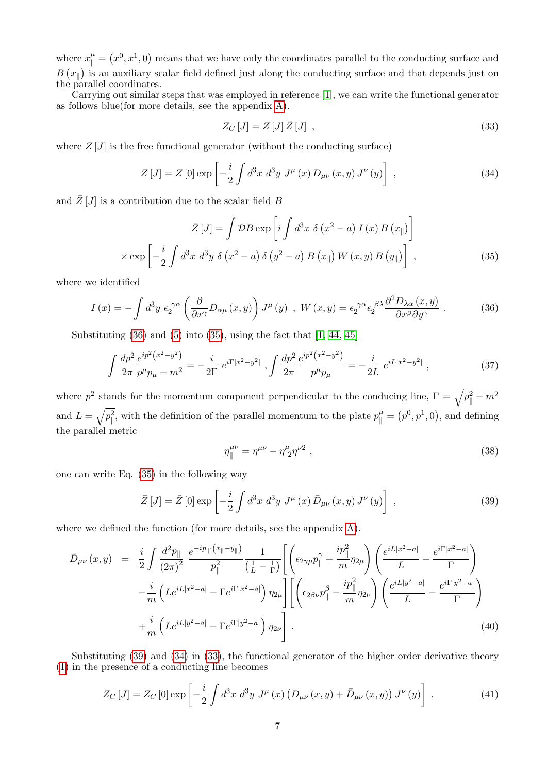where  $x_{\parallel}^{\mu} = (x^0, x^1, 0)$  means that we have only the coordinates parallel to the conducting surface and  $B(x_{\parallel})$  is an auxiliary scalar field defined just along the conducting surface and that depends just on the parallel coordinates.

Carrying out similar steps that was employed in reference [\[1\]](#page-13-0), we can write the functional generator as follows blue(for more details, see the appendix [A\)](#page-12-0).

<span id="page-6-4"></span>
$$
Z_C\left[J\right] = Z\left[J\right]\bar{Z}\left[J\right] \tag{33}
$$

where  $Z[J]$  is the free functional generator (without the conducting surface)

<span id="page-6-3"></span>
$$
Z\left[J\right] = Z\left[0\right] \exp\left[-\frac{i}{2} \int d^3x \, d^3y \, J^\mu\left(x\right) D_{\mu\nu}\left(x,y\right) J^\nu\left(y\right)\right] \,,\tag{34}
$$

and  $\bar{Z}[J]$  is a contribution due to the scalar field B

<span id="page-6-1"></span>
$$
\bar{Z}[J] = \int \mathcal{D}B \exp\left[i \int d^3x \ \delta\left(x^2 - a\right) I\left(x\right) B\left(x_{\parallel}\right)\right]
$$

$$
\times \exp\left[-\frac{i}{2} \int d^3x \ d^3y \ \delta\left(x^2 - a\right) \delta\left(y^2 - a\right) B\left(x_{\parallel}\right) W\left(x, y\right) B\left(y_{\parallel}\right)\right],\tag{35}
$$

where we identified

<span id="page-6-0"></span>
$$
I(x) = -\int d^3y \ \epsilon_2^{\gamma\alpha} \left(\frac{\partial}{\partial x^{\gamma}} D_{\alpha\mu}(x, y)\right) J^{\mu}(y) \ , \ W(x, y) = \epsilon_2^{\gamma\alpha} \epsilon_2^{\beta\lambda} \frac{\partial^2 D_{\lambda\alpha}(x, y)}{\partial x^{\beta} \partial y^{\gamma}} \ . \tag{36}
$$

Substituting  $(36)$  and  $(5)$  into  $(35)$ , using the fact that  $[1, 44, 45]$  $[1, 44, 45]$  $[1, 44, 45]$ 

<span id="page-6-7"></span>
$$
\int \frac{dp^2}{2\pi} \frac{e^{ip^2(x^2 - y^2)}}{p^\mu p_\mu - m^2} = -\frac{i}{2\Gamma} e^{i\Gamma|x^2 - y^2|} , \int \frac{dp^2}{2\pi} \frac{e^{ip^2(x^2 - y^2)}}{p^\mu p_\mu} = -\frac{i}{2L} e^{iL|x^2 - y^2|} , \qquad (37)
$$

where  $p^2$  stands for the momentum component perpendicular to the conducing line,  $\Gamma = \sqrt{p_{\parallel}^2 - m^2}$ and  $L = \sqrt{p_{\parallel}^2}$ , with the definition of the parallel momentum to the plate  $p_{\parallel}^{\mu} = (p^0, p^1, 0)$ , and defining the parallel metric

<span id="page-6-8"></span>
$$
\eta_{\parallel}^{\mu\nu} = \eta^{\mu\nu} - \eta^{\mu}_{\ 2} \eta^{\nu 2} \;, \tag{38}
$$

one can write Eq. [\(35\)](#page-6-1) in the following way

<span id="page-6-2"></span>
$$
\bar{Z}[J] = \bar{Z}[0] \exp\left[-\frac{i}{2} \int d^3x \ d^3y \ J^{\mu}(x) \ \bar{D}_{\mu\nu}(x,y) \ J^{\nu}(y)\right] \ , \tag{39}
$$

where we defined the function (for more details, see the appendix [A\)](#page-12-0).

<span id="page-6-6"></span>
$$
\bar{D}_{\mu\nu}(x,y) = \frac{i}{2} \int \frac{d^2 p_{\parallel}}{(2\pi)^2} \frac{e^{-ip_{\parallel} \cdot (x_{\parallel} - y_{\parallel})}}{p_{\parallel}^2} \frac{1}{(\frac{1}{L} - \frac{1}{\Gamma})} \left[ \left( \epsilon_{2\gamma\mu} p_{\parallel}^{\gamma} + \frac{ip_{\parallel}^2}{m} \eta_{2\mu} \right) \left( \frac{e^{iL|x^2 - a|}}{L} - \frac{e^{i\Gamma|x^2 - a|}}{\Gamma} \right) \right. \\
\left. - \frac{i}{m} \left( L e^{iL|x^2 - a|} - \Gamma e^{i\Gamma|x^2 - a|} \right) \eta_{2\mu} \right] \left[ \left( \epsilon_{2\beta\nu} p_{\parallel}^{\beta} - \frac{ip_{\parallel}^2}{m} \eta_{2\nu} \right) \left( \frac{e^{iL|y^2 - a|}}{L} - \frac{e^{i\Gamma|y^2 - a|}}{\Gamma} \right) \right. \\
\left. + \frac{i}{m} \left( L e^{iL|y^2 - a|} - \Gamma e^{i\Gamma|y^2 - a|} \right) \eta_{2\nu} \right].
$$
\n(40)

Substituting [\(39\)](#page-6-2) and [\(34\)](#page-6-3) in [\(33\)](#page-6-4), the functional generator of the higher order derivative theory [\(1\)](#page-1-1) in the presence of a conducting line becomes

<span id="page-6-5"></span>
$$
Z_C [J] = Z_C [0] \exp \left[ -\frac{i}{2} \int d^3 x \ d^3 y \ J^{\mu} (x) \left( D_{\mu\nu} (x, y) + \bar{D}_{\mu\nu} (x, y) \right) J^{\nu} (y) \right] \ . \tag{41}
$$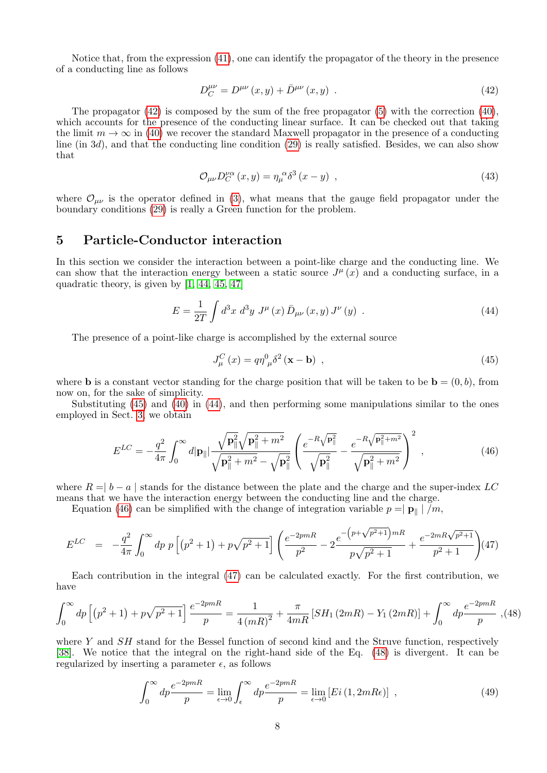Notice that, from the expression [\(41\)](#page-6-5), one can identify the propagator of the theory in the presence of a conducting line as follows

<span id="page-7-1"></span>
$$
D_C^{\mu\nu} = D^{\mu\nu}(x, y) + \bar{D}^{\mu\nu}(x, y) \tag{42}
$$

The propagator [\(42\)](#page-7-1) is composed by the sum of the free propagator [\(5\)](#page-1-2) with the correction [\(40\)](#page-6-6), which accounts for the presence of the conducting linear surface. It can be checked out that taking the limit  $m \to \infty$  in [\(40\)](#page-6-6) we recover the standard Maxwell propagator in the presence of a conducting line (in 3d), and that the conducting line condition  $(29)$  is really satisfied. Besides, we can also show that

$$
\mathcal{O}_{\mu\nu}D_C^{\nu\alpha}(x,y) = \eta_\mu^{\ \alpha}\delta^3(x-y) \quad , \tag{43}
$$

where  $\mathcal{O}_{\mu\nu}$  is the operator defined in [\(3\)](#page-1-3), what means that the gauge field propagator under the boundary conditions [\(29\)](#page-5-3) is really a Green function for the problem.

# <span id="page-7-0"></span>5 Particle-Conductor interaction

In this section we consider the interaction between a point-like charge and the conducting line. We can show that the interaction energy between a static source  $J^{\mu}(x)$  and a conducting surface, in a quadratic theory, is given by [\[1,](#page-13-0) [44,](#page-14-12) [45,](#page-14-13) [47\]](#page-14-15)

<span id="page-7-3"></span>
$$
E = \frac{1}{2T} \int d^3x \; d^3y \; J^{\mu}(x) \, \bar{D}_{\mu\nu}(x, y) \, J^{\nu}(y) \; . \tag{44}
$$

The presence of a point-like charge is accomplished by the external source

<span id="page-7-2"></span>
$$
J_{\mu}^{C}(x) = q\eta_{\mu}^{0} \delta^{2}(\mathbf{x} - \mathbf{b}) \tag{45}
$$

where **b** is a constant vector standing for the charge position that will be taken to be  $\mathbf{b} = (0, b)$ , from now on, for the sake of simplicity.

Substituting [\(45\)](#page-7-2) and [\(40\)](#page-6-6) in [\(44\)](#page-7-3), and then performing some manipulations similar to the ones employed in Sect. [3,](#page-2-0) we obtain

<span id="page-7-4"></span>
$$
E^{LC} = -\frac{q^2}{4\pi} \int_0^\infty d|\mathbf{p}_{\parallel}| \frac{\sqrt{\mathbf{p}_{\parallel}^2} \sqrt{\mathbf{p}_{\parallel}^2 + m^2}}{\sqrt{\mathbf{p}_{\parallel}^2 + m^2} - \sqrt{\mathbf{p}_{\parallel}^2}} \left( \frac{e^{-R\sqrt{\mathbf{p}_{\parallel}^2}}}{\sqrt{\mathbf{p}_{\parallel}^2} - \frac{e^{-R\sqrt{\mathbf{p}_{\parallel}^2 + m^2}}}{\sqrt{\mathbf{p}_{\parallel}^2 + m^2}}} \right)^2, \tag{46}
$$

where  $R = |b - a|$  stands for the distance between the plate and the charge and the super-index LC means that we have the interaction energy between the conducting line and the charge.

Equation [\(46\)](#page-7-4) can be simplified with the change of integration variable  $p = |p_{\parallel}| / m$ ,

<span id="page-7-5"></span>
$$
E^{LC} = -\frac{q^2}{4\pi} \int_0^{\infty} dp \ p \left[ (p^2 + 1) + p\sqrt{p^2 + 1} \right] \left( \frac{e^{-2pmR}}{p^2} - 2 \frac{e^{-\left(p + \sqrt{p^2 + 1}\right)mR}}{p\sqrt{p^2 + 1}} + \frac{e^{-2mR\sqrt{p^2 + 1}}}{p^2 + 1} \right) (47)
$$

Each contribution in the integral [\(47\)](#page-7-5) can be calculated exactly. For the first contribution, we have

<span id="page-7-6"></span>
$$
\int_0^\infty dp \left[ (p^2 + 1) + p\sqrt{p^2 + 1} \right] \frac{e^{-2pmR}}{p} = \frac{1}{4\left(mR\right)^2} + \frac{\pi}{4mR} \left[ SH_1\left(2mR\right) - Y_1\left(2mR\right) \right] + \int_0^\infty dp \frac{e^{-2pmR}}{p}, (48)
$$

where Y and  $SH$  stand for the Bessel function of second kind and the Struve function, respectively [\[38\]](#page-14-7). We notice that the integral on the right-hand side of the Eq. [\(48\)](#page-7-6) is divergent. It can be regularized by inserting a parameter  $\epsilon$ , as follows

$$
\int_0^\infty dp \frac{e^{-2pmR}}{p} = \lim_{\epsilon \to 0} \int_\epsilon^\infty dp \frac{e^{-2pmR}}{p} = \lim_{\epsilon \to 0} \left[ Ei(1,2mR\epsilon) \right] , \qquad (49)
$$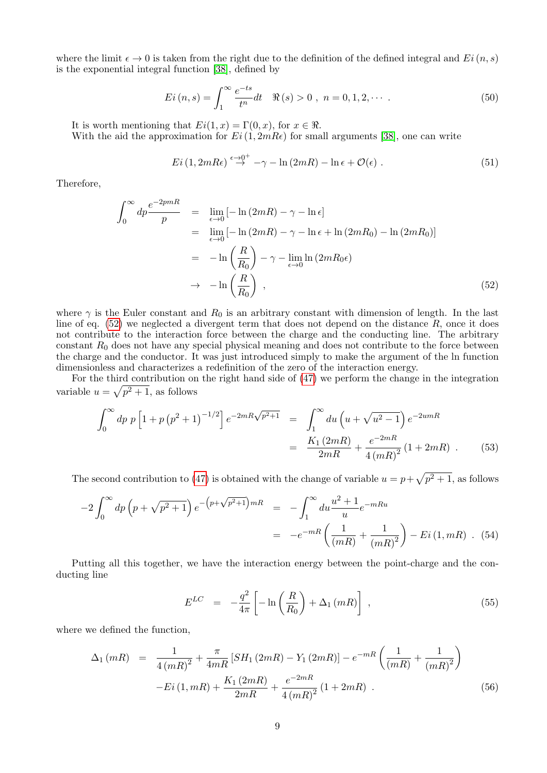where the limit  $\epsilon \to 0$  is taken from the right due to the definition of the defined integral and  $Ei(n, s)$ is the exponential integral function [\[38\]](#page-14-7), defined by

$$
Ei(n, s) = \int_{1}^{\infty} \frac{e^{-ts}}{t^n} dt \quad \Re(s) > 0 , \ n = 0, 1, 2, \cdots .
$$
 (50)

It is worth mentioning that  $Ei(1, x) = \Gamma(0, x)$ , for  $x \in \Re$ .

With the aid the approximation for  $Ei(1, 2mR\epsilon)$  for small arguments [\[38\]](#page-14-7), one can write

$$
Ei\left(1,2mR\epsilon\right) \stackrel{\epsilon \to 0^+}{\to} -\gamma - \ln(2mR) - \ln \epsilon + \mathcal{O}(\epsilon) . \tag{51}
$$

Therefore,

<span id="page-8-0"></span>
$$
\int_0^\infty dp \frac{e^{-2pmR}}{p} = \lim_{\epsilon \to 0} \left[ -\ln(2mR) - \gamma - \ln \epsilon \right]
$$
  
\n
$$
= \lim_{\epsilon \to 0} \left[ -\ln(2mR) - \gamma - \ln \epsilon + \ln(2mR_0) - \ln(2mR_0) \right]
$$
  
\n
$$
= -\ln\left(\frac{R}{R_0}\right) - \gamma - \lim_{\epsilon \to 0} \ln(2mR_0\epsilon)
$$
  
\n
$$
\to -\ln\left(\frac{R}{R_0}\right) , \qquad (52)
$$

where  $\gamma$  is the Euler constant and  $R_0$  is an arbitrary constant with dimension of length. In the last line of eq.  $(52)$  we neglected a divergent term that does not depend on the distance  $R$ , once it does not contribute to the interaction force between the charge and the conducting line. The arbitrary constant  $R_0$  does not have any special physical meaning and does not contribute to the force between the charge and the conductor. It was just introduced simply to make the argument of the ln function dimensionless and characterizes a redefinition of the zero of the interaction energy.

For the third contribution on the right hand side of [\(47\)](#page-7-5) we perform the change in the integration variable  $u = \sqrt{p^2 + 1}$ , as follows

<span id="page-8-2"></span>
$$
\int_0^\infty dp \, p \left[ 1 + p \left( p^2 + 1 \right)^{-1/2} \right] e^{-2mR\sqrt{p^2 + 1}} = \int_1^\infty du \left( u + \sqrt{u^2 - 1} \right) e^{-2umR}
$$

$$
= \frac{K_1 (2mR)}{2mR} + \frac{e^{-2mR}}{4 \left( mR \right)^2} (1 + 2mR) \quad . \tag{53}
$$

The second contribution to [\(47\)](#page-7-5) is obtained with the change of variable  $u = p + \sqrt{p^2 + 1}$ , as follows

$$
-2\int_0^{\infty} dp \left(p + \sqrt{p^2 + 1}\right) e^{-\left(p + \sqrt{p^2 + 1}\right) mR} = -\int_1^{\infty} du \frac{u^2 + 1}{u} e^{-mRu}
$$
  
= 
$$
-e^{-mR} \left(\frac{1}{(mR)} + \frac{1}{(mR)^2}\right) - Ei(1, mR) . (54)
$$

Putting all this together, we have the interaction energy between the point-charge and the conducting line

<span id="page-8-1"></span>
$$
E^{LC} = -\frac{q^2}{4\pi} \left[ -\ln\left(\frac{R}{R_0}\right) + \Delta_1\left(mR\right) \right] \,, \tag{55}
$$

where we defined the function,

$$
\Delta_1(mR) = \frac{1}{4(mR)^2} + \frac{\pi}{4mR} \left[ SH_1(2mR) - Y_1(2mR) \right] - e^{-mR} \left( \frac{1}{(mR)} + \frac{1}{(mR)^2} \right)
$$

$$
-Ei(1, mR) + \frac{K_1(2mR)}{2mR} + \frac{e^{-2mR}}{4(mR)^2} (1 + 2mR) . \tag{56}
$$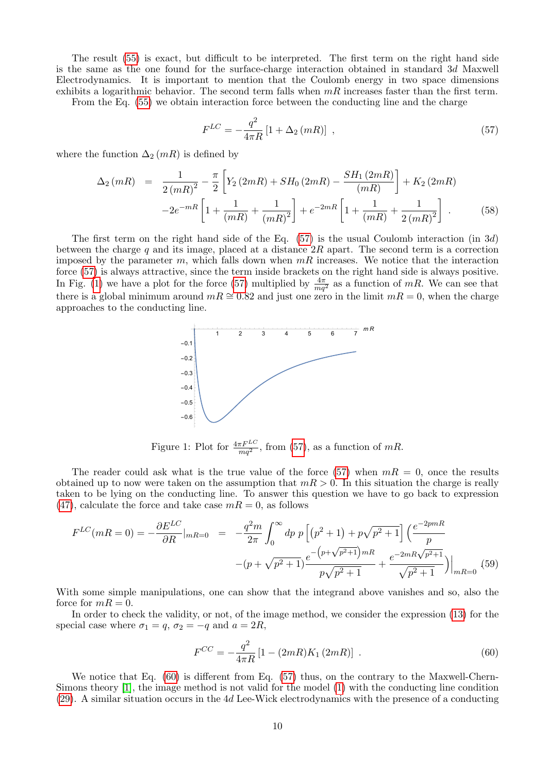The result [\(55\)](#page-8-1) is exact, but difficult to be interpreted. The first term on the right hand side is the same as the one found for the surface-charge interaction obtained in standard 3d Maxwell Electrodynamics. It is important to mention that the Coulomb energy in two space dimensions exhibits a logarithmic behavior. The second term falls when  $mR$  increases faster than the first term.

From the Eq. [\(55\)](#page-8-1) we obtain interaction force between the conducting line and the charge

<span id="page-9-0"></span>
$$
F^{LC} = -\frac{q^2}{4\pi R} \left[ 1 + \Delta_2 \left( mR \right) \right] \tag{57}
$$

where the function  $\Delta_2(mR)$  is defined by

$$
\Delta_2(mR) = \frac{1}{2(mR)^2} - \frac{\pi}{2} \left[ Y_2(2mR) + SH_0(2mR) - \frac{SH_1(2mR)}{(mR)} \right] + K_2(2mR) - 2e^{-mR} \left[ 1 + \frac{1}{(mR)} + \frac{1}{(mR)^2} \right] + e^{-2mR} \left[ 1 + \frac{1}{(mR)} + \frac{1}{2(mR)^2} \right].
$$
 (58)

The first term on the right hand side of the Eq.  $(57)$  is the usual Coulomb interaction  $(in 3d)$ between the charge q and its image, placed at a distance  $2R$  apart. The second term is a correction imposed by the parameter m, which falls down when  $mR$  increases. We notice that the interaction force [\(57\)](#page-9-0) is always attractive, since the term inside brackets on the right hand side is always positive. In Fig. [\(1\)](#page-9-1) we have a plot for the force [\(57\)](#page-9-0) multiplied by  $\frac{4\pi}{mq^2}$  as a function of mR. We can see that there is a global minimum around  $mR \approx 0.82$  and just one zero in the limit  $mR = 0$ , when the charge approaches to the conducting line.



<span id="page-9-1"></span>Figure 1: Plot for  $\frac{4\pi F^{LC}}{mq^2}$ , from [\(57\)](#page-9-0), as a function of mR.

The reader could ask what is the true value of the force [\(57\)](#page-9-0) when  $mR = 0$ , once the results obtained up to now were taken on the assumption that  $mR > 0$ . In this situation the charge is really taken to be lying on the conducting line. To answer this question we have to go back to expression  $(47)$ , calculate the force and take case  $mR = 0$ , as follows

$$
F^{LC}(mR = 0) = -\frac{\partial E^{LC}}{\partial R}|_{mR = 0} = -\frac{q^2 m}{2\pi} \int_0^\infty dp \ p \left[ (p^2 + 1) + p\sqrt{p^2 + 1} \right] \left( \frac{e^{-2pmR}}{p} - (p + \sqrt{p^2 + 1})\frac{e^{-2pmR}\sqrt{p^2 + 1}}{p\sqrt{p^2 + 1}} + \frac{e^{-2mR}\sqrt{p^2 + 1}}{\sqrt{p^2 + 1}} \right) \Big|_{mR = 0} \tag{59}
$$

With some simple manipulations, one can show that the integrand above vanishes and so, also the force for  $mR = 0$ .

In order to check the validity, or not, of the image method, we consider the expression [\(13\)](#page-3-1) for the special case where  $\sigma_1 = q$ ,  $\sigma_2 = -q$  and  $a = 2R$ ,

<span id="page-9-2"></span>
$$
F^{CC} = -\frac{q^2}{4\pi R} \left[ 1 - (2mR)K_1(2mR) \right] \,. \tag{60}
$$

We notice that Eq. [\(60\)](#page-9-2) is different from Eq. [\(57\)](#page-9-0) thus, on the contrary to the Maxwell-Chern-Simons theory [\[1\]](#page-13-0), the image method is not valid for the model [\(1\)](#page-1-1) with the conducting line condition [\(29\)](#page-5-3). A similar situation occurs in the 4d Lee-Wick electrodynamics with the presence of a conducting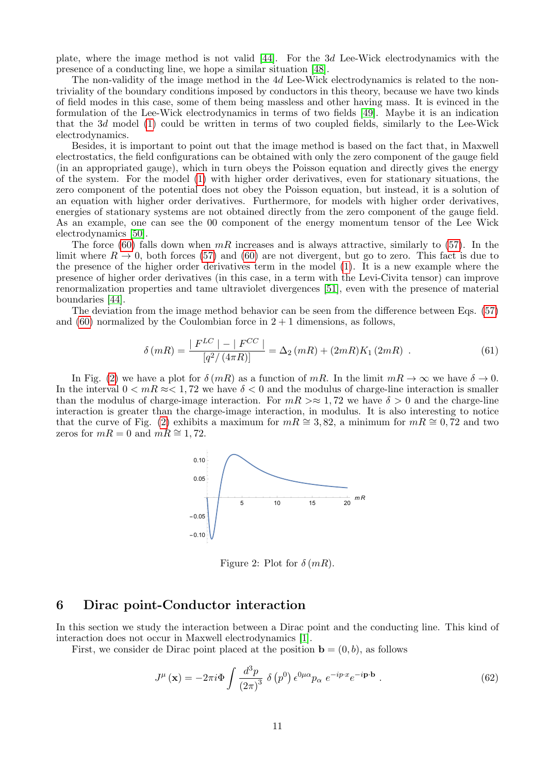plate, where the image method is not valid [\[44\]](#page-14-12). For the 3d Lee-Wick electrodynamics with the presence of a conducting line, we hope a similar situation [\[48\]](#page-14-16).

The non-validity of the image method in the 4d Lee-Wick electrodynamics is related to the nontriviality of the boundary conditions imposed by conductors in this theory, because we have two kinds of field modes in this case, some of them being massless and other having mass. It is evinced in the formulation of the Lee-Wick electrodynamics in terms of two fields [\[49\]](#page-14-17). Maybe it is an indication that the 3d model [\(1\)](#page-1-1) could be written in terms of two coupled fields, similarly to the Lee-Wick electrodynamics.

Besides, it is important to point out that the image method is based on the fact that, in Maxwell electrostatics, the field configurations can be obtained with only the zero component of the gauge field (in an appropriated gauge), which in turn obeys the Poisson equation and directly gives the energy of the system. For the model [\(1\)](#page-1-1) with higher order derivatives, even for stationary situations, the zero component of the potential does not obey the Poisson equation, but instead, it is a solution of an equation with higher order derivatives. Furthermore, for models with higher order derivatives, energies of stationary systems are not obtained directly from the zero component of the gauge field. As an example, one can see the 00 component of the energy momentum tensor of the Lee Wick electrodynamics [\[50\]](#page-14-18).

The force [\(60\)](#page-9-2) falls down when  $mR$  increases and is always attractive, similarly to [\(57\)](#page-9-0). In the limit where  $R \to 0$ , both forces [\(57\)](#page-9-0) and [\(60\)](#page-9-2) are not divergent, but go to zero. This fact is due to the presence of the higher order derivatives term in the model [\(1\)](#page-1-1). It is a new example where the presence of higher order derivatives (in this case, in a term with the Levi-Civita tensor) can improve renormalization properties and tame ultraviolet divergences [\[51\]](#page-14-19), even with the presence of material boundaries [\[44\]](#page-14-12).

The deviation from the image method behavior can be seen from the difference between Eqs. [\(57\)](#page-9-0) and  $(60)$  normalized by the Coulombian force in  $2+1$  dimensions, as follows,

$$
\delta(mR) = \frac{|F^{LC}| - |F^{CC}|}{[q^2/(4\pi R)]} = \Delta_2(mR) + (2mR)K_1(2mR) .
$$
\n(61)

In Fig. [\(2\)](#page-10-1) we have a plot for  $\delta(mR)$  as a function of mR. In the limit  $mR \to \infty$  we have  $\delta \to 0$ . In the interval  $0 \leq mR \approx 1.72$  we have  $\delta \leq 0$  and the modulus of charge-line interaction is smaller than the modulus of charge-image interaction. For  $mR \gg 1.72$  we have  $\delta > 0$  and the charge-line interaction is greater than the charge-image interaction, in modulus. It is also interesting to notice that the curve of Fig. [\(2\)](#page-10-1) exhibits a maximum for  $mR \cong 3, 82$ , a minimum for  $mR \cong 0, 72$  and two zeros for  $mR = 0$  and  $mR \approx 1,72$ .



<span id="page-10-1"></span>Figure 2: Plot for  $\delta(mR)$ .

#### <span id="page-10-0"></span>6 Dirac point-Conductor interaction

In this section we study the interaction between a Dirac point and the conducting line. This kind of interaction does not occur in Maxwell electrodynamics [\[1\]](#page-13-0).

First, we consider de Dirac point placed at the position  $\mathbf{b} = (0, b)$ , as follows

<span id="page-10-2"></span>
$$
J^{\mu}(\mathbf{x}) = -2\pi i \Phi \int \frac{d^3p}{\left(2\pi\right)^3} \ \delta \left(p^0\right) \epsilon^{0\mu\alpha} p_{\alpha} \ e^{-ip \cdot x} e^{-i\mathbf{p} \cdot \mathbf{b}} \ . \tag{62}
$$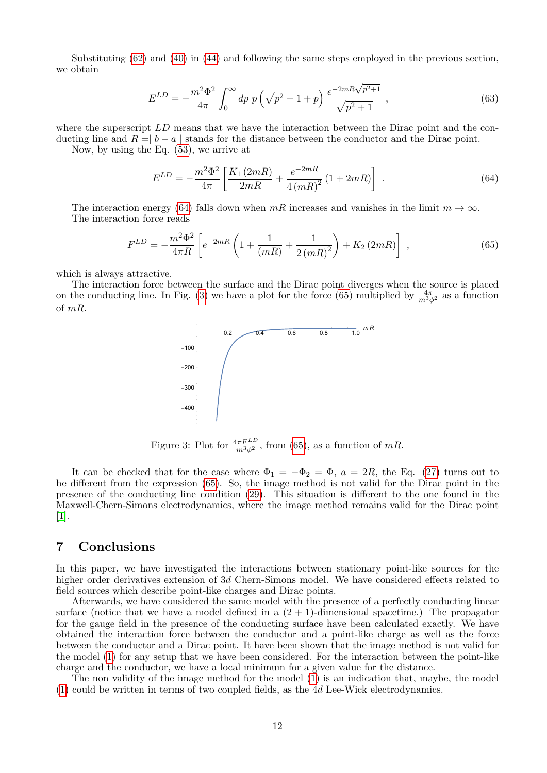Substituting [\(62\)](#page-10-2) and [\(40\)](#page-6-6) in [\(44\)](#page-7-3) and following the same steps employed in the previous section, we obtain

$$
E^{LD} = -\frac{m^2 \Phi^2}{4\pi} \int_0^\infty dp \ p \left(\sqrt{p^2 + 1} + p\right) \frac{e^{-2mR\sqrt{p^2 + 1}}}{\sqrt{p^2 + 1}} \ , \tag{63}
$$

where the superscript LD means that we have the interaction between the Dirac point and the conducting line and  $R = |b - a|$  stands for the distance between the conductor and the Dirac point.

Now, by using the Eq. [\(53\)](#page-8-2), we arrive at

<span id="page-11-1"></span>
$$
E^{LD} = -\frac{m^2 \Phi^2}{4\pi} \left[ \frac{K_1 (2mR)}{2mR} + \frac{e^{-2mR}}{4 (mR)^2} (1 + 2mR) \right] . \tag{64}
$$

The interaction energy [\(64\)](#page-11-1) falls down when  $mR$  increases and vanishes in the limit  $m \to \infty$ . The interaction force reads

<span id="page-11-3"></span>
$$
F^{LD} = -\frac{m^2 \Phi^2}{4\pi R} \left[ e^{-2mR} \left( 1 + \frac{1}{(mR)} + \frac{1}{2\left(mR\right)^2} \right) + K_2 \left( 2mR \right) \right] , \tag{65}
$$

which is always attractive.

The interaction force between the surface and the Dirac point diverges when the source is placed on the conducting line. In Fig. [\(3\)](#page-11-2) we have a plot for the force [\(65\)](#page-11-3) multiplied by  $\frac{4\pi}{m^3\phi^2}$  as a function of mR.



<span id="page-11-2"></span>Figure 3: Plot for  $\frac{4\pi F^{LD}}{m^3 \phi^2}$ , from [\(65\)](#page-11-3), as a function of mR.

It can be checked that for the case where  $\Phi_1 = -\Phi_2 = \Phi$ ,  $a = 2R$ , the Eq. [\(27\)](#page-5-1) turns out to be different from the expression [\(65\)](#page-11-3). So, the image method is not valid for the Dirac point in the presence of the conducting line condition [\(29\)](#page-5-3). This situation is different to the one found in the Maxwell-Chern-Simons electrodynamics, where the image method remains valid for the Dirac point [\[1\]](#page-13-0).

## <span id="page-11-0"></span>7 Conclusions

In this paper, we have investigated the interactions between stationary point-like sources for the higher order derivatives extension of 3d Chern-Simons model. We have considered effects related to field sources which describe point-like charges and Dirac points.

Afterwards, we have considered the same model with the presence of a perfectly conducting linear surface (notice that we have a model defined in a  $(2 + 1)$ -dimensional spacetime.) The propagator for the gauge field in the presence of the conducting surface have been calculated exactly. We have obtained the interaction force between the conductor and a point-like charge as well as the force between the conductor and a Dirac point. It have been shown that the image method is not valid for the model [\(1\)](#page-1-1) for any setup that we have been considered. For the interaction between the point-like charge and the conductor, we have a local minimum for a given value for the distance.

The non validity of the image method for the model [\(1\)](#page-1-1) is an indication that, maybe, the model [\(1\)](#page-1-1) could be written in terms of two coupled fields, as the 4d Lee-Wick electrodynamics.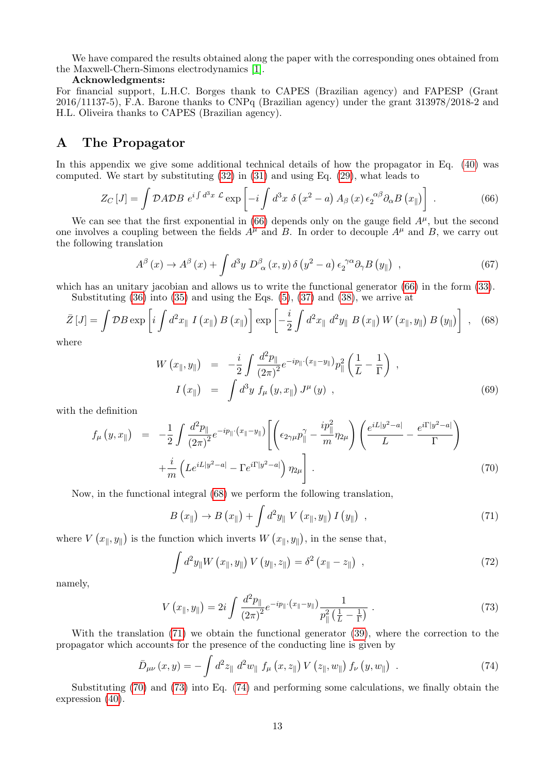We have compared the results obtained along the paper with the corresponding ones obtained from the Maxwell-Chern-Simons electrodynamics [\[1\]](#page-13-0).

#### Acknowledgments:

For financial support, L.H.C. Borges thank to CAPES (Brazilian agency) and FAPESP (Grant 2016/11137-5), F.A. Barone thanks to CNPq (Brazilian agency) under the grant 313978/2018-2 and H.L. Oliveira thanks to CAPES (Brazilian agency).

# <span id="page-12-0"></span>A The Propagator

In this appendix we give some additional technical details of how the propagator in Eq. [\(40\)](#page-6-6) was computed. We start by substituting [\(32\)](#page-5-4) in [\(31\)](#page-5-5) and using Eq. [\(29\)](#page-5-3), what leads to

<span id="page-12-1"></span>
$$
Z_C\left[J\right] = \int \mathcal{D}A \mathcal{D}B \ e^{i\int d^3x \ \mathcal{L}} \exp\left[-i\int d^3x \ \delta\left(x^2 - a\right) A_\beta\left(x\right) \epsilon_2^{\alpha\beta} \partial_\alpha B\left(x_\parallel\right)\right] \ . \tag{66}
$$

We can see that the first exponential in  $(66)$  depends only on the gauge field  $A^{\mu}$ , but the second one involves a coupling between the fields  $A^{\mu}$  and B. In order to decouple  $A^{\mu}$  and B, we carry out the following translation

$$
A^{\beta}(x) \to A^{\beta}(x) + \int d^3y \ D^{\beta}_{\alpha}(x, y) \delta(y^2 - a) \epsilon_2^{\ \gamma \alpha} \partial_{\gamma} B(y_{\parallel}), \qquad (67)
$$

which has an unitary jacobian and allows us to write the functional generator  $(66)$  in the form  $(33)$ . Substituting [\(36\)](#page-6-0) into [\(35\)](#page-6-1) and using the Eqs. [\(5\)](#page-1-2), [\(37\)](#page-6-7) and [\(38\)](#page-6-8), we arrive at

<span id="page-12-2"></span>
$$
\bar{Z}[J] = \int \mathcal{D}B \exp\left[i \int d^2x_{\parallel} \ I\left(x_{\parallel}\right) B\left(x_{\parallel}\right)\right] \exp\left[-\frac{i}{2} \int d^2x_{\parallel} \ d^2y_{\parallel} \ B\left(x_{\parallel}\right) W\left(x_{\parallel}, y_{\parallel}\right) B\left(y_{\parallel}\right)\right] \ , \tag{68}
$$

where

$$
W(x_{\parallel}, y_{\parallel}) = -\frac{i}{2} \int \frac{d^2 p_{\parallel}}{(2\pi)^2} e^{-ip_{\parallel} \cdot (x_{\parallel} - y_{\parallel})} p_{\parallel}^2 \left(\frac{1}{L} - \frac{1}{\Gamma}\right) ,
$$
  

$$
I(x_{\parallel}) = \int d^3 y f_{\mu}(y, x_{\parallel}) J^{\mu}(y) ,
$$
 (69)

with the definition

<span id="page-12-4"></span>
$$
f_{\mu}(y,x_{\parallel}) = -\frac{1}{2} \int \frac{d^2 p_{\parallel}}{(2\pi)^2} e^{-ip_{\parallel} \cdot (x_{\parallel} - y_{\parallel})} \left[ \left( \epsilon_{2\gamma\mu} p_{\parallel}^{\gamma} - \frac{ip_{\parallel}^2}{m} \eta_{2\mu} \right) \left( \frac{e^{iL|y^2 - a|}}{L} - \frac{e^{i\Gamma|y^2 - a|}}{\Gamma} \right) \right. \\ \left. + \frac{i}{m} \left( L e^{iL|y^2 - a|} - \Gamma e^{i\Gamma|y^2 - a|} \right) \eta_{2\mu} \right]. \tag{70}
$$

Now, in the functional integral [\(68\)](#page-12-2) we perform the following translation,

<span id="page-12-3"></span>
$$
B\left(x_{\parallel}\right) \to B\left(x_{\parallel}\right) + \int d^{2}y_{\parallel} V\left(x_{\parallel}, y_{\parallel}\right) I\left(y_{\parallel}\right) , \qquad (71)
$$

where  $V(x_{\parallel}, y_{\parallel})$  is the function which inverts  $W(x_{\parallel}, y_{\parallel})$ , in the sense that,

$$
\int d^2y_{\parallel} W\left(x_{\parallel}, y_{\parallel}\right) V\left(y_{\parallel}, z_{\parallel}\right) = \delta^2 \left(x_{\parallel} - z_{\parallel}\right) , \qquad (72)
$$

namely,

<span id="page-12-5"></span>
$$
V(x_{\parallel}, y_{\parallel}) = 2i \int \frac{d^2 p_{\parallel}}{(2\pi)^2} e^{-ip_{\parallel} \cdot (x_{\parallel} - y_{\parallel})} \frac{1}{p_{\parallel}^2 (\frac{1}{L} - \frac{1}{\Gamma})} \ . \tag{73}
$$

With the translation [\(71\)](#page-12-3) we obtain the functional generator [\(39\)](#page-6-2), where the correction to the propagator which accounts for the presence of the conducting line is given by

<span id="page-12-6"></span>
$$
\bar{D}_{\mu\nu}(x,y) = -\int d^2 z_{\parallel} d^2 w_{\parallel} f_{\mu}(x,z_{\parallel}) V(z_{\parallel},w_{\parallel}) f_{\nu}(y,w_{\parallel}) . \qquad (74)
$$

Substituting [\(70\)](#page-12-4) and [\(73\)](#page-12-5) into Eq. [\(74\)](#page-12-6) and performing some calculations, we finally obtain the expression [\(40\)](#page-6-6).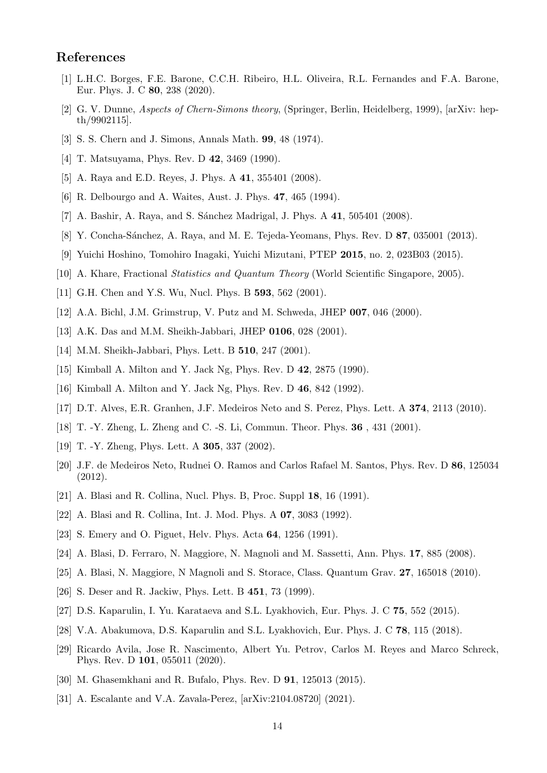# References

- <span id="page-13-0"></span>[1] L.H.C. Borges, F.E. Barone, C.C.H. Ribeiro, H.L. Oliveira, R.L. Fernandes and F.A. Barone, Eur. Phys. J. C 80, 238 (2020).
- <span id="page-13-1"></span>[2] G. V. Dunne, Aspects of Chern-Simons theory, (Springer, Berlin, Heidelberg, 1999), [arXiv: hepth/9902115].
- <span id="page-13-2"></span>[3] S. S. Chern and J. Simons, Annals Math. 99, 48 (1974).
- <span id="page-13-3"></span>[4] T. Matsuyama, Phys. Rev. D 42, 3469 (1990).
- <span id="page-13-4"></span>[5] A. Raya and E.D. Reyes, J. Phys. A 41, 355401 (2008).
- <span id="page-13-5"></span>[6] R. Delbourgo and A. Waites, Aust. J. Phys. 47, 465 (1994).
- <span id="page-13-6"></span>[7] A. Bashir, A. Raya, and S. Sánchez Madrigal, J. Phys.  $A$  41, 505401 (2008).
- <span id="page-13-7"></span>[8] Y. Concha-Sánchez, A. Raya, and M. E. Tejeda-Yeomans, Phys. Rev. D 87, 035001 (2013).
- <span id="page-13-8"></span>[9] Yuichi Hoshino, Tomohiro Inagaki, Yuichi Mizutani, PTEP 2015, no. 2, 023B03 (2015).
- <span id="page-13-9"></span>[10] A. Khare, Fractional Statistics and Quantum Theory (World Scientific Singapore, 2005).
- <span id="page-13-10"></span>[11] G.H. Chen and Y.S. Wu, Nucl. Phys. B **593**, 562 (2001).
- <span id="page-13-11"></span>[12] A.A. Bichl, J.M. Grimstrup, V. Putz and M. Schweda, JHEP 007, 046 (2000).
- <span id="page-13-12"></span>[13] A.K. Das and M.M. Sheikh-Jabbari, JHEP 0106, 028 (2001).
- <span id="page-13-13"></span>[14] M.M. Sheikh-Jabbari, Phys. Lett. B **510**, 247 (2001).
- <span id="page-13-14"></span>[15] Kimball A. Milton and Y. Jack Ng, Phys. Rev. D 42, 2875 (1990).
- <span id="page-13-15"></span>[16] Kimball A. Milton and Y. Jack Ng, Phys. Rev. D 46, 842 (1992).
- <span id="page-13-16"></span>[17] D.T. Alves, E.R. Granhen, J.F. Medeiros Neto and S. Perez, Phys. Lett. A 374, 2113 (2010).
- <span id="page-13-17"></span>[18] T. -Y. Zheng, L. Zheng and C. -S. Li, Commun. Theor. Phys. 36 , 431 (2001).
- <span id="page-13-18"></span>[19] T. -Y. Zheng, Phys. Lett. A **305**, 337 (2002).
- <span id="page-13-19"></span>[20] J.F. de Medeiros Neto, Rudnei O. Ramos and Carlos Rafael M. Santos, Phys. Rev. D 86, 125034 (2012).
- <span id="page-13-20"></span>[21] A. Blasi and R. Collina, Nucl. Phys. B, Proc. Suppl 18, 16 (1991).
- <span id="page-13-21"></span>[22] A. Blasi and R. Collina, Int. J. Mod. Phys. A 07, 3083 (1992).
- <span id="page-13-22"></span>[23] S. Emery and O. Piguet, Helv. Phys. Acta 64, 1256 (1991).
- <span id="page-13-23"></span>[24] A. Blasi, D. Ferraro, N. Maggiore, N. Magnoli and M. Sassetti, Ann. Phys. 17, 885 (2008).
- <span id="page-13-24"></span>[25] A. Blasi, N. Maggiore, N Magnoli and S. Storace, Class. Quantum Grav. 27, 165018 (2010).
- <span id="page-13-25"></span>[26] S. Deser and R. Jackiw, Phys. Lett. B 451, 73 (1999).
- <span id="page-13-26"></span>[27] D.S. Kaparulin, I. Yu. Karataeva and S.L. Lyakhovich, Eur. Phys. J. C 75, 552 (2015).
- <span id="page-13-27"></span>[28] V.A. Abakumova, D.S. Kaparulin and S.L. Lyakhovich, Eur. Phys. J. C 78, 115 (2018).
- <span id="page-13-28"></span>[29] Ricardo Avila, Jose R. Nascimento, Albert Yu. Petrov, Carlos M. Reyes and Marco Schreck, Phys. Rev. D 101, 055011 (2020).
- <span id="page-13-29"></span>[30] M. Ghasemkhani and R. Bufalo, Phys. Rev. D 91, 125013 (2015).
- <span id="page-13-30"></span>[31] A. Escalante and V.A. Zavala-Perez, [arXiv:2104.08720] (2021).